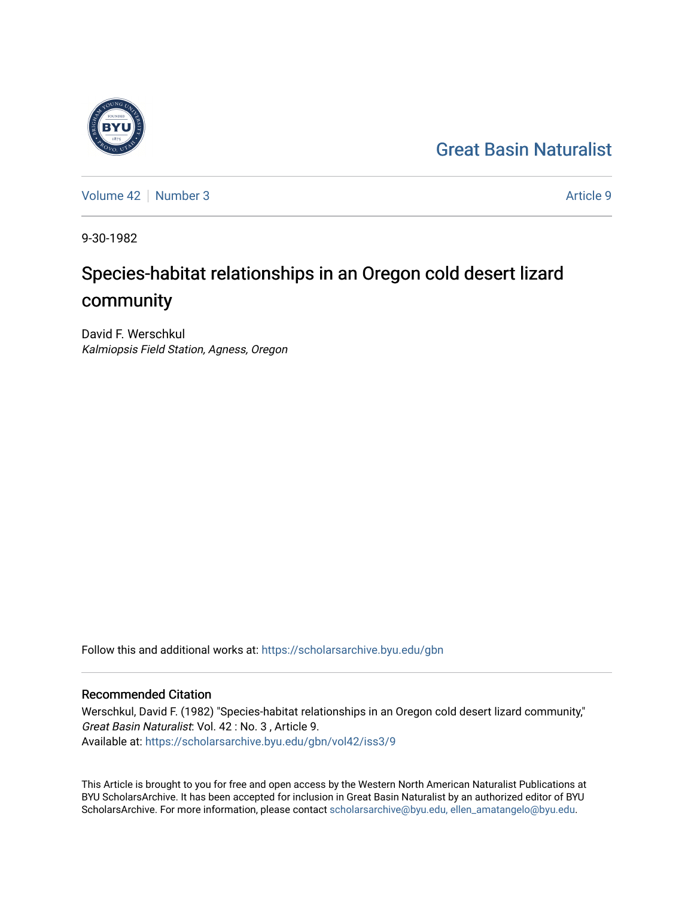## [Great Basin Naturalist](https://scholarsarchive.byu.edu/gbn)



[Volume 42](https://scholarsarchive.byu.edu/gbn/vol42) [Number 3](https://scholarsarchive.byu.edu/gbn/vol42/iss3) Article 9

9-30-1982

# Species-habitat relationships in an Oregon cold desert lizard community

David F. Werschkul Kalmiopsis Field Station, Agness, Oregon

Follow this and additional works at: [https://scholarsarchive.byu.edu/gbn](https://scholarsarchive.byu.edu/gbn?utm_source=scholarsarchive.byu.edu%2Fgbn%2Fvol42%2Fiss3%2F9&utm_medium=PDF&utm_campaign=PDFCoverPages) 

### Recommended Citation

Werschkul, David F. (1982) "Species-habitat relationships in an Oregon cold desert lizard community," Great Basin Naturalist: Vol. 42 : No. 3 , Article 9. Available at: [https://scholarsarchive.byu.edu/gbn/vol42/iss3/9](https://scholarsarchive.byu.edu/gbn/vol42/iss3/9?utm_source=scholarsarchive.byu.edu%2Fgbn%2Fvol42%2Fiss3%2F9&utm_medium=PDF&utm_campaign=PDFCoverPages)

This Article is brought to you for free and open access by the Western North American Naturalist Publications at BYU ScholarsArchive. It has been accepted for inclusion in Great Basin Naturalist by an authorized editor of BYU ScholarsArchive. For more information, please contact [scholarsarchive@byu.edu, ellen\\_amatangelo@byu.edu.](mailto:scholarsarchive@byu.edu,%20ellen_amatangelo@byu.edu)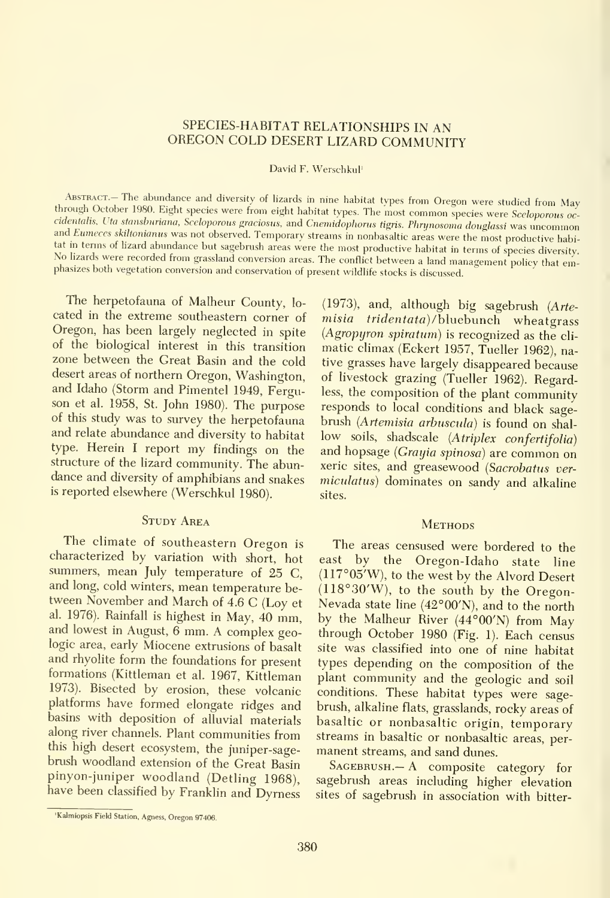#### SPECIES-HABITAT RELATIONSHIPS IN AN OREGON COLD DESERT LIZARD COMMUNITY

David F. Werschkul'

ABSTRACT.- The abundance and diversity of lizards in nine habitat types from Oregon were studied from May through October 1980. Eight species were from eight habitat types. The most common species were Sceloporous occidentalis, Uta stansburiana, Sceloporous graciosus, and Cnemidophorus tigris. Phrynosoma douglassi was uncommon and Eumeces skiltonianus was not observed. Temporary streams in nonbasaltic areas were the most productive habi-<br>tat in terms of lizard abundance but sagebrush areas were the most productive habitat in terms of species div No lizards were recorded from grassland conversion areas. The conflict between a land management policy that emphasizes both vegetation conversion and conservation of present wildlife stocks is discussed.

The herpetofauna of Malheur County, lo cated in the extreme southeastern corner of Oregon, has been largely neglected in spite of the biological interest in this transition zone between the Great Basin and the cold desert areas of northern Oregon, Washington, and Idaho (Storm and Pimentel 1949, Ferguson et al. 1958, St. John 1980). The purpose of this study was to survey the herpetofauna and relate abundance and diversity to habitat type. Herein <sup>I</sup> report my findings on the structure of the lizard community. The abundance and diversity of amphibians and snakes is reported elsewhere (Werschkul 1980).

#### STUDY AREA

The climate of southeastern Oregon is characterized by variation with short, hot summers, mean July temperature of 25 C, and long, cold winters, mean temperature be tween November and March of 4.6 C (Loy et al. 1976). Rainfall is highest in May, 40 mm, and lowest in August, 6 mm. A complex geologic area, early Miocene extrusions of basalt and rhyolite form the foundations for present formations (Kittleman et al. 1967, Kittleman 1973). Bisected by erosion, these volcanic platforms have formed elongate ridges and basins with deposition of alluvial materials along river channels. Plant communities from this high desert ecosystem, the juniper-sagebrush woodland extension of the Great Basin pinyon-juniper woodland (Detling 1968), have been classified by Franklin and Dymess

(1973), and, although big sagebrush (Artemisia tridentata)/bluebunch wheatgrass (Agropyron spiratum) is recognized as the cli matic climax (Eckert 1957, Tueller 1962), native grasses have largely disappeared because of livestock grazing (Tueller 1962). Regardless, the composition of the plant community responds to local conditions and black sage brush (Artemisia arbuscula) is found on shallow soils, shadscale (Atriplex confertifolia) and hopsage (Grayia spinosa) are common on xeric sites, and greasewood (Sacrobatus vermiculatus) dominates on sandy and alkaline sites.

#### **METHODS**

The areas censused were bordered to the by the Oregon-Idaho state line (117°05'W), to the west by the Alvord Desert (118°30'W), to the south by the Oregon-Nevada state line (42°00'N), and to the north by the Malheur River (44°00'N) from May through October 1980 (Fig. 1). Each census site was classified into one of nine habitat types depending on the composition of the plant community and the geologic and soil conditions. These habitat types were sage brush, alkaline flats, grasslands, rocky areas of basaltic or nonbasaltic origin, temporary streams in basaltic or nonbasaltic areas, per manent streams, and sand dunes.

 $S$ AGEBRUSH.— A composite category for sagebrush areas including higher elevation sites of sagebrush in association with bitter-

<sup>&#</sup>x27;Kalmiopsis Field Station, Agness, Oregon 97406.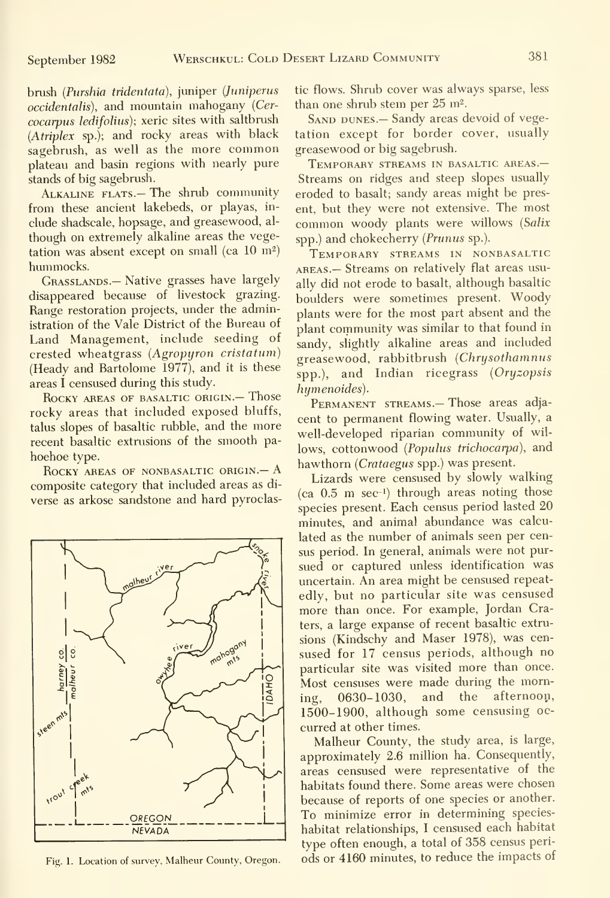brush {Purshia tridentata), juniper {Juniperus occidentalis), and mountain mahogany {Cer cocarpus ledifolius); xeric sites with saltbrush {Atriplex sp.); and rocky areas with black sagebrush, as well as the more common plateau and basin regions with nearly pure stands of big sagebrush.

Alkaline flats.— The shrub community from these ancient lakebeds, or playas, in clude shadscale, hopsage, and greasewood, al though on extremely alkaline areas the vegetation was absent except on small (ca  $10 \text{ m}^2$ ) hummocks.

GRASSLANDS.— Native grasses have largely disappeared because of livestock grazing. Range restoration projects, under the administration of the Vale District of the Bureau of Land Management, include seeding of crested wheatgrass {Agropyron cristatum) (Heady and Bartolome 1977), and it is these areas I censused during this study.

ROCKY AREAS OF BASALTIC ORIGIN. - Those rocky areas that included exposed bluffs, talus slopes of basaltic rubble, and the more recent basaltic extrusions of the smooth pa hoehoe type.

ROCKY AREAS OF NONBASALTIC ORIGIN. - A composite category that included areas as di verse as arkose sandstone and hard pyroclas-



Fig. 1. Location of survey, Malheur County, Oregon.

tic flows. Shrub cover was always sparse, less than one shrub stem per 25 m<sup>2</sup>.

SAND DUNES. - Sandy areas devoid of vegetation except for border cover, usually greasewood or big sagebrush.

Temporary streams in basaltic areas.— Streams on ridges and steep slopes usually eroded to basalt; sandy areas might be present, but they were not extensive. The most common woody plants were willows {Salix spp.) and chokecherry (Prunus sp.).

Temporary streams in nonbasaltic AREAS.— Streams on relatively flat areas usually did not erode to basalt, although basaltic boulders were sometimes present. Woody plants were for the most part absent and the plant community was similar to that found in sandy, slightly alkaline areas and included greasewood, rabbitbrush {Chrysothamnus spp.), and Indian ricegrass (Oryzopsis humenoides).

PERMANENT STREAMS.- Those areas adjacent to permanent flowing water. Usually, a well-developed riparian community of wil lows, cottonwood (Populus trichocarpa), and hawthorn {Crataegus spp.) was present.

Lizards were censused by slowly walking (ca  $0.5$  m sec<sup>-1</sup>) through areas noting those species present. Each census period lasted 20 minutes, and animal abundance was calculated as the number of animals seen per census period. In general, animals were not pur sued or captured unless identification was uncertain. An area might be censused repeatedly, but no particular site was censused more than once. For example, Jordan Craters, a large expanse of recent basaltic extrusions (Kindschy and Maser 1978), was cen sused for 17 census periods, although no particular site was visited more than once. Most censuses were made during the morning, 0630-1030, and the afternoon, 1500-1900, although some censusing oc curred at other times.

Malheur County, the study area, is large, approximately 2.6 million ha. Consequently, areas censused were representative of the habitats found there. Some areas were chosen because of reports of one species or another. To minimize error in determining specieshabitat relationships, <sup>I</sup> censused each habitat type often enough, a total of 358 census periods or 4160 minutes, to reduce the impacts of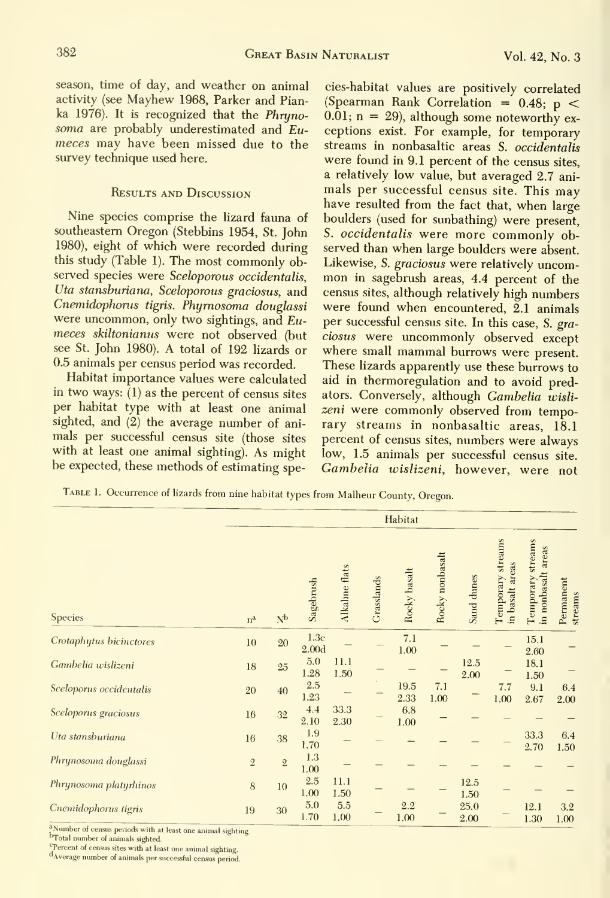season, time of day, and weather on animal activity (see Mayhew 1968, Parker and Pianka 1976). It is recognized that the Phryno soma are probably underestimated and Eumeces may have been missed due to the survey technique used here.

#### Results and Discussion

Nine species comprise the lizard fauna of southeastern Oregon (Stebbins 1954, St. John 1980), eight of which were recorded during this study (Table 1). The most commonly observed species were Sceloporous occidentalis, Uta stansburiana, Sceloporous graciosus, and Cnemidophorus tigris. Phyrnosoma douglassi were uncommon, only two sightings, and Eumeces skiltonianus were not observed (but see St. John 1980). A total of 192 lizards or 0.5 animals per census period was recorded.

Habitat importance values were calculated in two ways: (1) as the percent of census sites per habitat type with at least one animal sighted, and  $(2)$  the average number of animals per successful census site (those sites with at least one animal sighting). As might be expected, these methods of estimating spe-

cies-habitat values are positively correlated (Spearman Rank Correlation =  $0.48$ ; p <  $0.01$ ; n = 29), although some noteworthy exceptions exist. For example, for temporary streams in nonbasaltic areas S. occidentalis were found in 9.1 percent of the census sites, a relatively low value, but averaged 2.7 ani mals per successful census site. This may have resulted from the fact that, when large boulders (used for sunbathing) were present, S. occidentalis were more commonly observed than when large boulders were absent.<br>Likewise, S. graciosus were relatively uncommon in sagebrush areas, 4.4 percent of the census sites, although relatively high numbers were found when encountered, 2.1 animals per successful census site. In this case, S. gra ciosus were uncommonly observed except where small mammal burrows were present. These lizards apparently use these burrows to aid in thermoregulation and to avoid predators. Conversely, although Gambelia wislizeni were commonly observed from temporary streams in nonbasaltic areas, 18.1 percent of census sites, numbers were always low, 1.5 animals per successful census site. Gambelia wislizeni, however, were not

TABLE 1. Occurrence of lizards from nine habitat types from Malheur County, Oregon.

|                         | Habitat     |                |                           |                |            |              |                 |              |                                      |                                               |                      |
|-------------------------|-------------|----------------|---------------------------|----------------|------------|--------------|-----------------|--------------|--------------------------------------|-----------------------------------------------|----------------------|
| <b>Species</b>          | $n^a$       | N <sub>b</sub> | Sagebrush                 | Alkaline flats | Grasslands | Rocky basalt | Rocky nonbasalt | Sand dunes   | Temporary streams<br>in basalt areas | streams<br>areas<br>in nonbasalt<br>Temporary | Permanent<br>streams |
| Crotaphytus bicinctores | 10          | 20             | 1.3c<br>2.00 <sub>d</sub> |                |            | 7.1<br>1.00  |                 |              |                                      | 15.1<br>2.60                                  |                      |
| Gambelia wislizeni      | $18\,$      | $25\,$         | 5.0<br>1.28               | 11.1<br>1.50   |            |              |                 | 12.5<br>2.00 |                                      | 18.1<br>1.50                                  |                      |
| Sceloporus occidentalis | 20          | 40             | 2.5<br>1.23               |                |            | 19.5<br>2.33 | 7.1<br>1.00     |              | 7.7<br>1.00                          | 9.1<br>2.67                                   | 6.4<br>2.00          |
| Sceloporus graciosus    | 16          | 32             | 4.4<br>2.10               | 33.3<br>2.30   |            | 6.8<br>1.00  |                 |              |                                      |                                               |                      |
| Uta stansburiana        | 16          | 38             | 1.9<br>1.70               |                |            |              |                 |              |                                      | 33.3<br>2.70                                  | 6.4<br>1.50          |
| Phrynosoma douglassi    | $\sqrt{2}$  | $\mathbf{2}$   | 1.3<br>1.00               |                |            |              |                 |              |                                      |                                               |                      |
| Phrynosoma platyrhinos  | $\,$ 8 $\,$ | 10             | 2.5<br>1.00               | 11.1<br>1.50   |            |              |                 | 12.5<br>1.50 |                                      |                                               |                      |
| Cnemidophorus tigris    | 19          | 30             | 5.0<br>1.70               | 5.5<br>1.00    |            | 2.2<br>1.00  |                 | 25.0<br>2.00 |                                      | 12.1<br>1.30                                  | 3.2<br>1.00          |

Number of census periods with at least one animal sighting.

<sup>C</sup>Percent of census sites with at least one animal sighting.

dAverage number of animals per successful census period.

b<sub>Total</sub> number of animals sighted.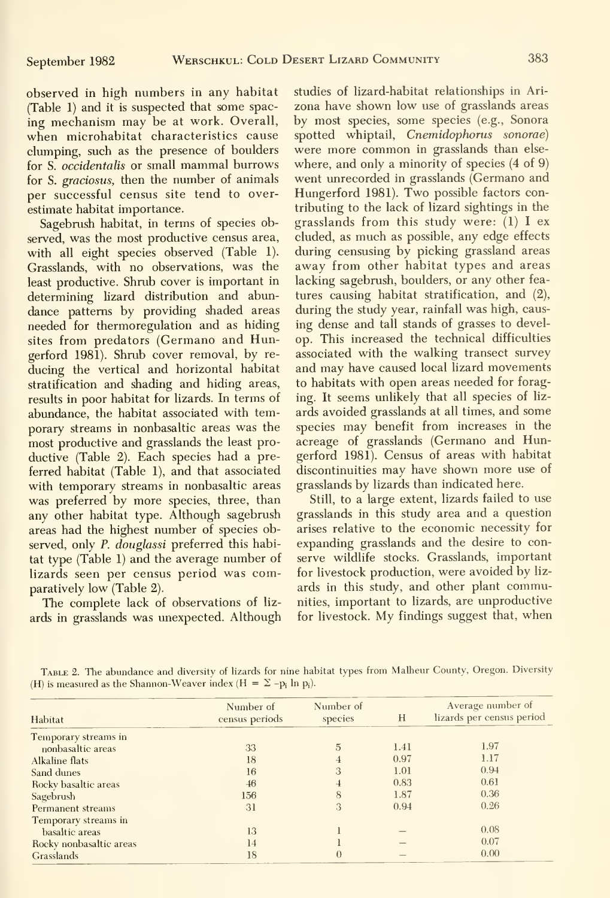observed in high numbers in any habitat (Table 1) and it is suspected that some spac ing mechanism may be at work. Overall, when microhabitat characteristics cause clumping, such as the presence of boulders for S. occidentalis or small mammal burrows for S. graciosus, then the number of animals per successful census site tend to overestimate habitat importance.

Sagebrush habitat, in terms of species observed, was the most productive census area, with all eight species observed (Table 1). Grasslands, with no observations, was the least productive. Shrub cover is important in determining lizard distribution and abundance patterns by providing shaded areas needed for thermoregulation and as hiding sites from predators (Germano and Hungerford 1981). Shrub cover removal, by re ducing the vertical and horizontal habitat stratification and shading and hiding areas, results in poor habitat for lizards. In terms of abundance, the habitat associated with temporary streams in nonbasaltic areas was the most productive and grasslands the least pro ductive (Table 2). Each species had a preferred habitat (Table 1), and that associated with temporary streams in nonbasaltic areas was preferred by more species, three, than any other habitat type. Although sagebrush areas had the highest number of species observed, only P. douglassi preferred this habitat type (Table 1) and the average number of lizards seen per census period was comparatively low (Table 2).

The complete lack of observations of liz ards in grasslands was unexpected. Although studies of lizard-habitat relationships in Ari zona have shown low use of grasslands areas by most species, some species (e.g., Sonora spotted whiptail, Cnemidophorus sonorae) were more common in grasslands than else where, and only a minority of species (4 of 9) went unrecorded in grasslands (Germano and Hungerford 1981). Two possible factors contributing to the lack of lizard sightings in the grasslands from this study were: (1) <sup>I</sup> ex eluded, as much as possible, any edge effects during censusing by picking grassland areas away from other habitat types and areas lacking sagebrush, boulders, or any other fea tures causing habitat stratification, and (2), during the study year, rainfall was high, caus ing dense and tall stands of grasses to develop. This increased the technical difficulties associated with the walking transect survey and may have caused local lizard movements to habitats with open areas needed for foraging. It seems unlikely that all species of liz ards avoided grasslands at all times, and some species may benefit from increases in the acreage of grasslands (Germano and Himgerford 1981). Census of areas with habitat discontinuities may have shown more use of grasslands by lizards than indicated here.

Still, to a large extent, lizards failed to use grasslands in this study area and a question arises relative to the economic necessity for expanding grasslands and the desire to conserve wildlife stocks. Grasslands, important for livestock production, were avoided by liz ards in this study, and other plant communities, important to lizards, are unproductive for livestock. My findings suggest that, when

Table 2. The abundance and diversity of lizards for nine habitat types from Malheur County, Oregon. Diversity (H) is measured as the Shannon-Weaver index (H =  $\Sigma$  - $p_i$  ln  $p_i$ ).

| Habitat                 | Number of<br>census periods | Number of<br>species | H    | Average number of<br>lizards per census period |  |
|-------------------------|-----------------------------|----------------------|------|------------------------------------------------|--|
| Temporary streams in    |                             |                      |      |                                                |  |
| nonbasaltic areas       | 33                          | 5                    | 1.41 | 1.97                                           |  |
| Alkaline flats          | 18                          |                      | 0.97 | 1.17                                           |  |
| Sand dunes              | 16                          | 3                    | 1.01 | 0.94                                           |  |
| Rocky basaltic areas    | 46                          |                      | 0.83 | 0.61                                           |  |
| Sagebrush               | 156                         | 8                    | 1.87 | 0.36                                           |  |
| Permanent streams       | 31                          | 3                    | 0.94 | 0.26                                           |  |
| Temporary streams in    |                             |                      |      |                                                |  |
| basaltic areas          | 13                          |                      |      | 0.08                                           |  |
| Rocky nonbasaltic areas | 14                          |                      |      | 0.07                                           |  |
| Grasslands              | 18                          | $\theta$             |      | 0.00                                           |  |